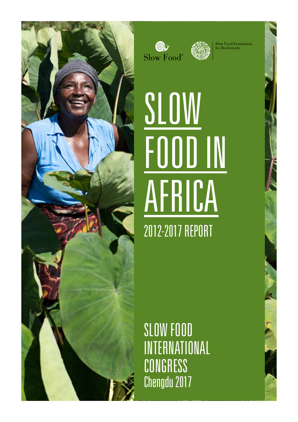





Slow Food Foundation<br>for Biodiversity

SLOW FOOD IN AFRICA 2012-2017 REPORT

SLOW FOOD INTERNATIONAL CONGRESS Chengdu 2017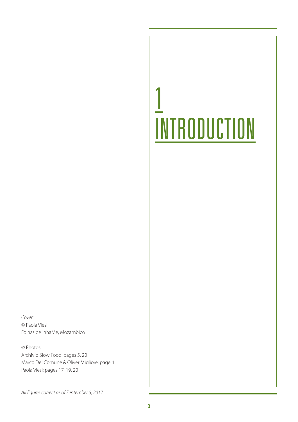# 1 **INTRODUCTION**

*Cover:*  © Paola Viesi Folhas de inhaMe, Mozambico

© Photos Archivio Slow Food: pages 5, 20 Marco Del Comune & Oliver Migliore: page 4 Paola Viesi: pages 17, 19, 20

*All figures correct as of September 5, 2017*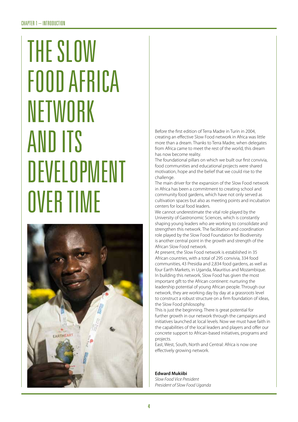## THE SLOW FOOD AFRICA NETWORK AND ITS DEVELOPMENT OVER TIME



Before the first edition of Terra Madre in Turin in 2004, creating an effective Slow Food network in Africa was little more than a dream. Thanks to Terra Madre, when delegates from Africa came to meet the rest of the world, this dream has now become reality.

The foundational pillars on which we built our first convivia, food communities and educational projects were shared motivation, hope and the belief that we could rise to the challenge.

The main driver for the expansion of the Slow Food network in Africa has been a commitment to creating school and community food gardens, which have not only served as cultivation spaces but also as meeting points and incubation centers for local food leaders.

We cannot underestimate the vital role played by the University of Gastronomic Sciences, which is constantly shaping young leaders who are working to consolidate and strengthen this network. The facilitation and coordination role played by the Slow Food Foundation for Biodiversity is another central point in the growth and strength of the African Slow Food network.

At present, the Slow Food network is established in 35 African countries, with a total of 295 convivia, 334 food communities, 43 Presidia and 2,834 food gardens, as well as four Earth Markets, in Uganda, Mauritius and Mozambique. In building this network, Slow Food has given the most important gift to the African continent: nurturing the leadership potential of young African people. Through our network, they are working day by day at a grassroots level to construct a robust structure on a firm foundation of ideas, the Slow Food philosophy.

This is just the beginning. There is great potential for further growth in our network through the campaigns and initiatives launched at local levels. Now we must have faith in the capabilities of the local leaders and players and offer our concrete support to African-based initiatives, programs and projects.

East, West, South, North and Central: Africa is now one effectively growing network.

**Edward Mukiibi**  *Slow Food Vice President President of Slow Food Uganda*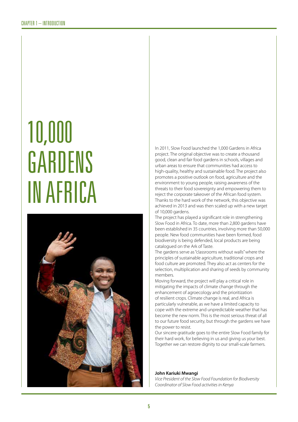# 10,000 **GARDENS** IN AFRICA



In 2011, Slow Food launched the 1,000 Gardens in Africa project. The original objective was to create a thousand good, clean and fair food gardens in schools, villages and urban areas to ensure that communities had access to high-quality, healthy and sustainable food. The project also promotes a positive outlook on food, agriculture and the environment to young people, raising awareness of the threats to their food sovereignty and empowering them to reject the corporate takeover of the African food system. Thanks to the hard work of the network, this objective was achieved in 2013 and was then scaled up with a new target of 10,000 gardens.

The project has played a significant role in strengthening Slow Food in Africa. To date, more than 2,800 gardens have been established in 35 countries, involving more than 50,000 people. New food communities have been formed, food biodiversity is being defended, local products are being catalogued on the Ark of Taste.

The gardens serve as "classrooms without walls" where the principles of sustainable agriculture, traditional crops and food culture are promoted. They also act as centers for the selection, multiplication and sharing of seeds by community members.

Moving forward, the project will play a critical role in mitigating the impacts of climate change through the enhancement of agroecology and the prioritization of resilient crops. Climate change is real, and Africa is particularly vulnerable, as we have a limited capacity to cope with the extreme and unpredictable weather that has become the new norm. This is the most serious threat of all to our future food security, but through the gardens we have the power to resist.

Our sincere gratitude goes to the entire Slow Food family for their hard work, for believing in us and giving us your best. Together we can restore dignity to our small-scale farmers.

#### **John Kariuki Mwangi**

*Vice President of the Slow Food Foundation for Biodiversity Coordinator of Slow Food activities in Kenya*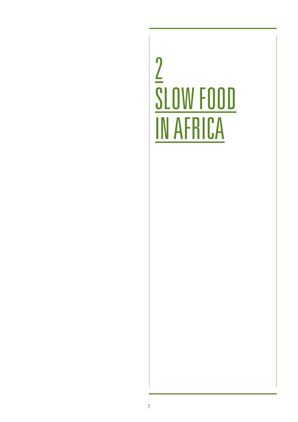## 2 SLOW FOOD IN AFRICA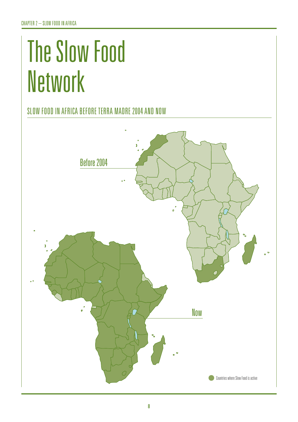## The Slow Food **Network**

### SLOW FOOD IN AFRICA BEFORE TERRA MADRE 2004 AND NOW

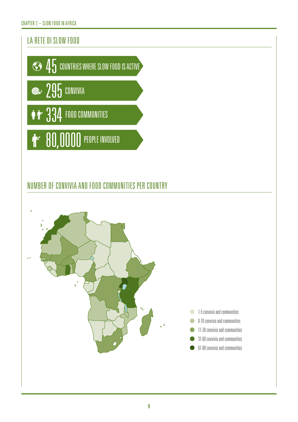### LA RETE DI SLOW FOOD







### NUMBER OF CONVIVIA AND FOOD COMMUNITIES PER COUNTRY

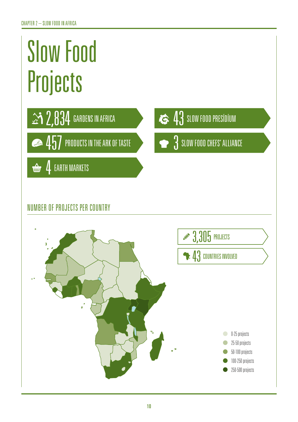# Slow Food **Projects**



### NUMBER OF PROJECTS PER COUNTRY

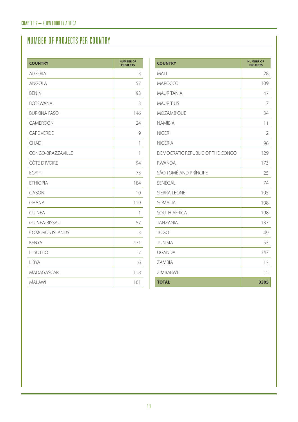### NUMBER OF PROJECTS PER COUNTRY

| <b>COUNTRY</b>         | <b>NUMBER OF</b><br><b>PROJECTS</b> |
|------------------------|-------------------------------------|
| <b>ALGERIA</b>         | 3                                   |
| ANGOLA                 | 57                                  |
| <b>BENIN</b>           | 93                                  |
| <b>BOTSWANA</b>        | 3                                   |
| <b>BURKINA FASO</b>    | 146                                 |
| CAMEROON               | 24                                  |
| CAPE VERDE             | 9                                   |
| <b>CHAD</b>            | 1                                   |
| CONGO-BRAZZAVILLE      | 1                                   |
| CÔTE D'IVOIRE          | 94                                  |
| <b>EGYPT</b>           | 73                                  |
| <b>ETHIOPIA</b>        | 184                                 |
| <b>GABON</b>           | 10                                  |
| <b>GHANA</b>           | 119                                 |
| <b>GUINEA</b>          | 1                                   |
| <b>GUINEA-BISSAU</b>   | 57                                  |
| <b>COMOROS ISLANDS</b> | 3                                   |
| <b>KENYA</b>           | 471                                 |
| <b>LESOTHO</b>         | 7                                   |
| <b>LIBYA</b>           | 6                                   |
| MADAGASCAR             | 118                                 |
| <b>MALAWI</b>          | 101                                 |

| <b>COUNTRY</b>                   | <b>NUMBER OF</b><br><b>PROJECTS</b> |
|----------------------------------|-------------------------------------|
| <b>MALI</b>                      | 28                                  |
| <b>MAROCCO</b>                   | 109                                 |
| <b>MAURITANIA</b>                | 47                                  |
| <b>MAURITIUS</b>                 | 7                                   |
| MOZAMBIQUE                       | 34                                  |
| <b>NAMIBIA</b>                   | 11                                  |
| <b>NIGER</b>                     | 2                                   |
| <b>NIGERIA</b>                   | 96                                  |
| DEMOCRATIC REPUBLIC OF THE CONGO | 129                                 |
| RWANDA                           | 173                                 |
| SÂO TOMÉ AND PRÍNCIPE            | 25                                  |
| <b>SENEGAL</b>                   | 74                                  |
| <b>SIERRA LEONE</b>              | 105                                 |
| SOMALIA                          | 108                                 |
| <b>SOUTH AFRICA</b>              | 198                                 |
| <b>TANZANIA</b>                  | 137                                 |
| <b>TOGO</b>                      | 49                                  |
| <b>TUNISIA</b>                   | 53                                  |
| <b>UGANDA</b>                    | 347                                 |
| ZAMBIA                           | 13                                  |
| <b>ZIMBABWE</b>                  | 15                                  |
| <b>TOTAL</b>                     | 3305                                |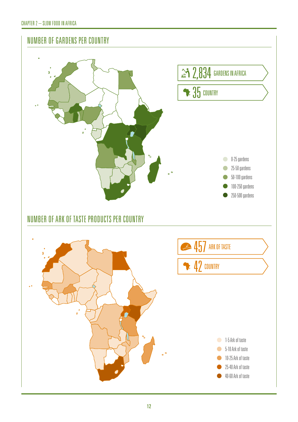#### CHAPTER 2 – SLOW FOOD IN AFRICA

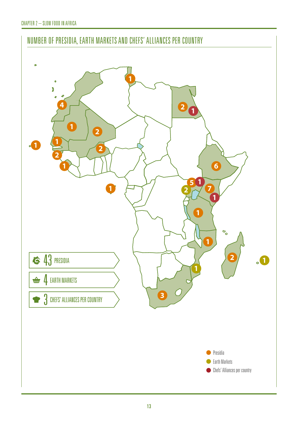### NUMBER OF PRESIDIA, EARTH MARKETS AND CHEFS' ALLIANCES PER COUNTRY

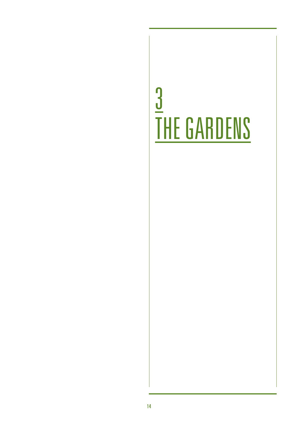## **THE GARDENS**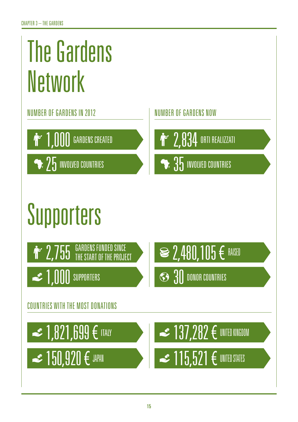# The Gardens Network

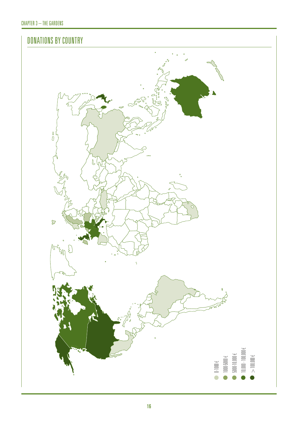### DONATIONS BY COUNTRY

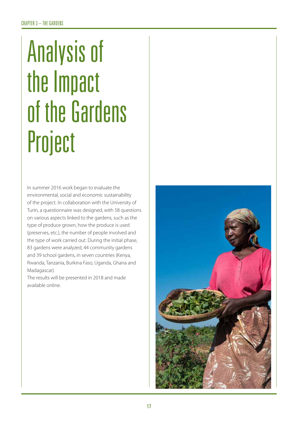## Analysis of the Impact of the Gardens Project

In summer 2016 work began to evaluate the environmental, social and economic sustainability of the project. In collaboration with the University of Turin, a questionnaire was designed, with 58 questions on various aspects linked to the gardens, such as the type of produce grown, how the produce is used (preserves, etc.), the number of people involved and the type of work carried out. During the initial phase, 83 gardens were analyzed, 44 community gardens and 39 school gardens, in seven countries (Kenya, Rwanda, Tanzania, Burkina Faso, Uganda, Ghana and Madagascar).

The results will be presented in 2018 and made available online.

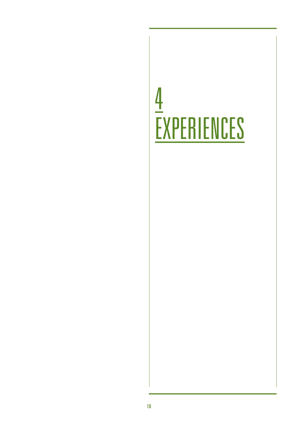## **EXPERIENCES**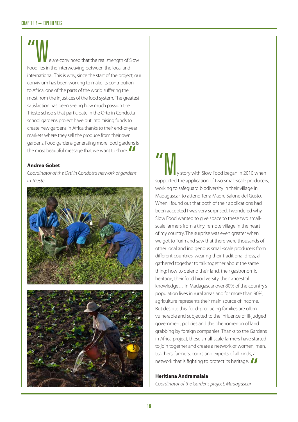e are convinced that the real strength of Slow Food lies in the interweaving between the local and international. This is why, since the start of the project, our convivium has been working to make its contribution to Africa, one of the parts of the world suffering the most from the injustices of the food system. The greatest satisfaction has been seeing how much passion the Trieste schools that participate in the Orto in Condotta school gardens project have put into raising funds to create new gardens in Africa thanks to their end-of-year markets where they sell the produce from their own gardens. Food gardens generating more food gardens is the most beautiful message that we want to share.

#### **Andrea Gobet**

*Coordinator of the Orti in Condotta network of gardens in Trieste*



y story with Slow Food began in 2010 when I supported the application of two small-scale producers, working to safeguard biodiversity in their village in Madagascar, to attend Terra Madre Salone del Gusto. When I found out that both of their applications had been accepted I was very surprised. I wondered why Slow Food wanted to give space to these two smallscale farmers from a tiny, remote village in the heart of my country. The surprise was even greater when we got to Turin and saw that there were thousands of other local and indigenous small-scale producers from different countries, wearing their traditional dress, all gathered together to talk together about the same thing: how to defend their land, their gastronomic heritage, their food biodiversity, their ancestral knowledge… In Madagascar over 80% of the country's population lives in rural areas and for more than 90%, agriculture represents their main source of income. But despite this, food-producing families are often vulnerable and subjected to the influence of ill-judged government policies and the phenomenon of land grabbing by foreign companies. Thanks to the Gardens in Africa project, these small-scale farmers have started to join together and create a network of women, men, teachers, farmers, cooks and experts of all kinds, a network that is fighting to protect its heritage.

#### **Heritiana Andramalala**

*Coordinator of the Gardens project, Madagascar*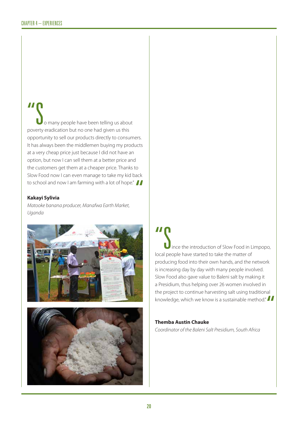II So many people have been telling us about poverty eradication but no one had given us this opportunity to sell our products directly to consumers. It has always been the middlemen buying my products at a very cheap price just because I did not have an option, but now I can sell them at a better price and the customers get them at a cheaper price. Thanks to Slow Food now I can even manage to take my kid back to school and now I am farming with a lot of hope."

#### **Kakayi Sylivia**

*Matooke banana producer, Manafwa Earth Market, Uganda*





II<br>Since the introduction of Slow Food in Limpopo, local people have started to take the matter of producing food into their own hands, and the network is increasing day by day with many people involved. Slow Food also gave value to Baleni salt by making it a Presidium, thus helping over 26 women involved in the project to continue harvesting salt using traditional knowledge, which we know is a sustainable method."

**Themba Austin Chauke** *Coordinator of the Baleni Salt Presidium, South Africa*